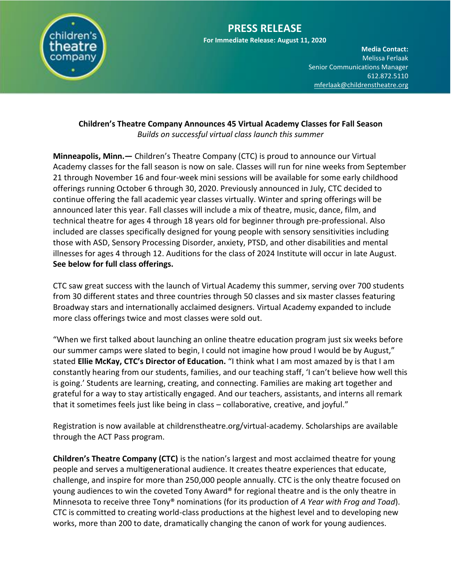

# **PRESS RELEASE**

**For Immediate Release: August 11, 2020**

**Media Contact:**  Melissa Ferlaak Senior Communications Manager 612.872.5110 [mferlaak@childrenstheatre.org](mailto:mferlaak@childrenstheatre.org)

#### **Children's Theatre Company Announces 45 Virtual Academy Classes for Fall Season** *Builds on successful virtual class launch this summer*

**Minneapolis, Minn.—** Children's Theatre Company (CTC) is proud to announce our Virtual Academy classes for the fall season is now on sale. Classes will run for nine weeks from September 21 through November 16 and four-week mini sessions will be available for some early childhood offerings running October 6 through 30, 2020. Previously announced in July, CTC decided to continue offering the fall academic year classes virtually. Winter and spring offerings will be announced later this year. Fall classes will include a mix of theatre, music, dance, film, and technical theatre for ages 4 through 18 years old for beginner through pre-professional. Also included are classes specifically designed for young people with sensory sensitivities including those with ASD, Sensory Processing Disorder, anxiety, PTSD, and other disabilities and mental illnesses for ages 4 through 12. Auditions for the class of 2024 Institute will occur in late August. **See below for full class offerings.**

CTC saw great success with the launch of Virtual Academy this summer, serving over 700 students from 30 different states and three countries through 50 classes and six master classes featuring Broadway stars and internationally acclaimed designers. Virtual Academy expanded to include more class offerings twice and most classes were sold out.

"When we first talked about launching an online theatre education program just six weeks before our summer camps were slated to begin, I could not imagine how proud I would be by August," stated **Ellie McKay, CTC's Director of Education.** "I think what I am most amazed by is that I am constantly hearing from our students, families, and our teaching staff, 'I can't believe how well this is going.' Students are learning, creating, and connecting. Families are making art together and grateful for a way to stay artistically engaged. And our teachers, assistants, and interns all remark that it sometimes feels just like being in class – collaborative, creative, and joyful."

Registration is now available at childrenstheatre.org/virtual-academy. Scholarships are available through the ACT Pass program.

**Children's Theatre Company (CTC)** is the nation's largest and most acclaimed theatre for young people and serves a multigenerational audience. It creates theatre experiences that educate, challenge, and inspire for more than 250,000 people annually. CTC is the only theatre focused on young audiences to win the coveted Tony Award® for regional theatre and is the only theatre in Minnesota to receive three Tony® nominations (for its production of *A Year with Frog and Toad*). CTC is committed to creating world-class productions at the highest level and to developing new works, more than 200 to date, dramatically changing the canon of work for young audiences.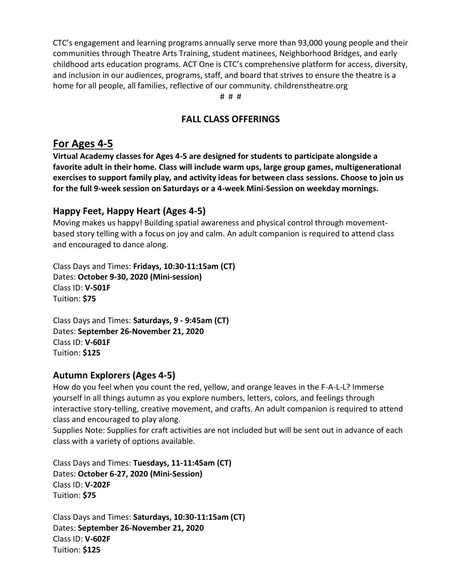CTC's engagement and learning programs annually serve more than 93,000 young people and their communities through Theatre Arts Training, student matinees, Neighborhood Bridges, and early childhood arts education programs. ACT One is CTC's comprehensive platform for access, diversity, 66, <del>611</del> 612.511<br>82tre is 2 and inclusion in our audiences, programs, staff, and board that strives to ensure the theatre is a<br>hard for all conclusions of families of factions for a second site of the still second acts are home for all people, all families, reflective of our community. childrenstheatre.org

# # #

#### **FALL CLASS OFFERINGS**

## **For Ages 4-5**

**Virtual Academy classes for Ages 4-5 are designed for students to participate alongside a favorite adult in their home. Class will include warm ups, large group games, multigenerational exercises to support family play, and activity ideas for between class sessions. Choose to join us for the full 9-week session on Saturdays or a 4-week Mini-Session on weekday mornings.**

## **Happy Feet, Happy Heart (Ages 4-5)**

Moving makes us happy! Building spatial awareness and physical control through movementbased story telling with a focus on joy and calm. An adult companion is required to attend class and encouraged to dance along.

Class Days and Times: **Fridays, 10:30-11:15am (CT)** Dates: **October 9-30, 2020 (Mini-session)** Class ID: **V-501F** Tuition: **\$75**

Class Days and Times: **Saturdays, 9 - 9:45am (CT)** Dates: **September 26-November 21, 2020** Class ID: **V-601F** Tuition: **\$125**

#### **Autumn Explorers (Ages 4-5)**

How do you feel when you count the red, yellow, and orange leaves in the F-A-L-L? Immerse yourself in all things autumn as you explore numbers, letters, colors, and feelings through interactive story-telling, creative movement, and crafts. An adult companion is required to attend class and encouraged to play along.

Supplies Note: Supplies for craft activities are not included but will be sent out in advance of each class with a variety of options available.

Class Days and Times: **Tuesdays, 11-11:45am (CT)** Dates: **October 6-27, 2020 (Mini-Session)** Class ID: **V-202F** Tuition: **\$75**

Class Days and Times: **Saturdays, 10:30-11:15am (CT)** Dates: **September 26-November 21, 2020** Class ID: **V-602F** Tuition: **\$125**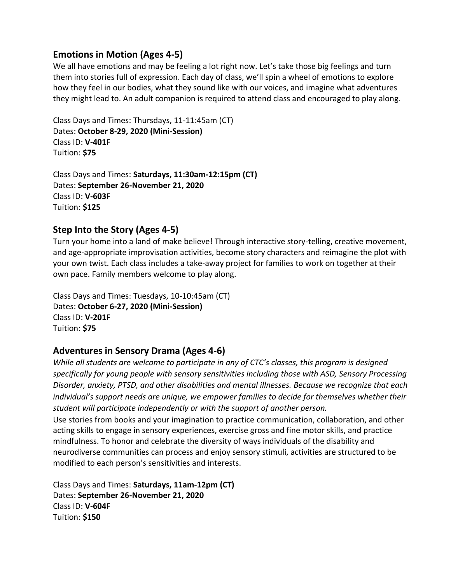## **Emotions in Motion (Ages 4-5)**

Senior Communications Manager We all have emotions and may be feeling a lot right now. Let's take those big feelings and turn<br>with the state of the state of the state of the state of the state of the state of the state of the state of t them into stories full of expression. Each day of class, we'll spin a wheel of emotions to explore how they feel in our bodies, what they sound like with our voices, and imagine what adventures they might lead to. An adult companion is required to attend class and encouraged to play along.

Class Days and Times: Thursdays, 11-11:45am (CT) Dates: **October 8-29, 2020 (Mini-Session)** Class ID: **V-401F** Tuition: **\$75**

Class Days and Times: **Saturdays, 11:30am-12:15pm (CT)** Dates: **September 26-November 21, 2020** Class ID: **V-603F** Tuition: **\$125**

## **Step Into the Story (Ages 4-5)**

Turn your home into a land of make believe! Through interactive story-telling, creative movement, and age-appropriate improvisation activities, become story characters and reimagine the plot with your own twist. Each class includes a take-away project for families to work on together at their own pace. Family members welcome to play along.

Class Days and Times: Tuesdays, 10-10:45am (CT) Dates: **October 6-27, 2020 (Mini-Session)** Class ID: **V-201F** Tuition: **\$75**

#### **Adventures in Sensory Drama (Ages 4-6)**

*While all students are welcome to participate in any of CTC's classes, this program is designed specifically for young people with sensory sensitivities including those with ASD, Sensory Processing Disorder, anxiety, PTSD, and other disabilities and mental illnesses. Because we recognize that each individual's support needs are unique, we empower families to decide for themselves whether their student will participate independently or with the support of another person.*

Use stories from books and your imagination to practice communication, collaboration, and other acting skills to engage in sensory experiences, exercise gross and fine motor skills, and practice mindfulness. To honor and celebrate the diversity of ways individuals of the disability and neurodiverse communities can process and enjoy sensory stimuli, activities are structured to be modified to each person's sensitivities and interests.

Class Days and Times: **Saturdays, 11am-12pm (CT)** Dates: **September 26-November 21, 2020** Class ID: **V-604F** Tuition: **\$150**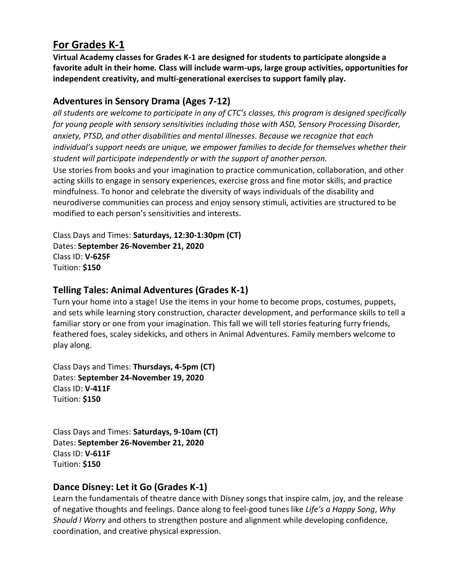# **For Grades K-1**

Melissa Ferlaak Virtual Academy classes for Grades K-1 are designed for students to participate alongside a **participate** favorite adult in their home. Class will include warm-ups, large group activities, opportunities for independent creativity, and multi-generational exercises to support family play.

# **Adventures in Sensory Drama (Ages 7-12)**

*all students are welcome to participate in any of CTC's classes, this program is designed specifically for young people with sensory sensitivities including those with ASD, Sensory Processing Disorder, anxiety, PTSD, and other disabilities and mental illnesses. Because we recognize that each*  individual's support needs are unique, we empower families to decide for themselves whether their *student will participate independently or with the support of another person.* Use stories from books and your imagination to practice communication, collaboration, and other

acting skills to engage in sensory experiences, exercise gross and fine motor skills, and practice mindfulness. To honor and celebrate the diversity of ways individuals of the disability and neurodiverse communities can process and enjoy sensory stimuli, activities are structured to be modified to each person's sensitivities and interests.

Class Days and Times: **Saturdays, 12:30-1:30pm (CT)** Dates: **September 26-November 21, 2020** Class ID: **V-625F** Tuition: **\$150**

# **Telling Tales: Animal Adventures (Grades K-1)**

Turn your home into a stage! Use the items in your home to become props, costumes, puppets, and sets while learning story construction, character development, and performance skills to tell a familiar story or one from your imagination. This fall we will tell stories featuring furry friends, feathered foes, scaley sidekicks, and others in Animal Adventures. Family members welcome to play along.

Class Days and Times: **Thursdays, 4-5pm (CT)** Dates: **September 24-November 19, 2020** Class ID: **V-411F** Tuition: **\$150**

Class Days and Times: **Saturdays, 9-10am (CT)** Dates: **September 26-November 21, 2020** Class ID: **V-611F** Tuition: **\$150**

# **Dance Disney: Let it Go (Grades K-1)**

Learn the fundamentals of theatre dance with Disney songs that inspire calm, joy, and the release of negative thoughts and feelings. Dance along to feel-good tunes like *Life's a Happy Song*, *Why Should I Worry* and others to strengthen posture and alignment while developing confidence, coordination, and creative physical expression.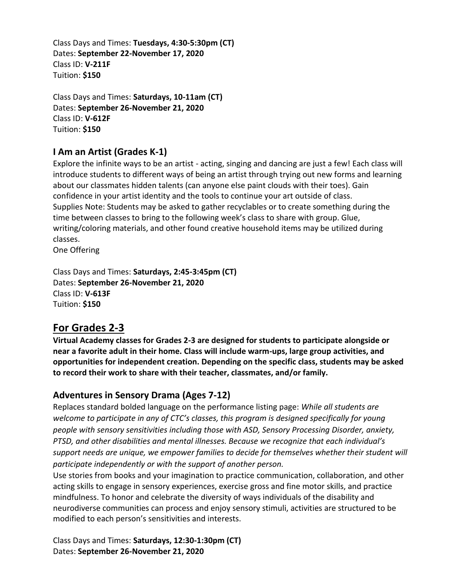Class Days and Times: **Tuesdays, 4:30-5:30pm (CT)** Dates: **September 22-November 17, 2020** Class ID: **V-211F** Tuition: **\$150**

Class Days and Times: **Saturdays, 10-11am (CT)** Dates: **September 26-November 21, 2020** Class ID: **V-612F** Tuition: **\$150**

# **I Am an Artist (Grades K-1)**

Explore the infinite ways to be an artist - acting, singing and dancing are just a few! Each class will introduce students to different ways of being an artist through trying out new forms and learning about our classmates hidden talents (can anyone else paint clouds with their toes). Gain confidence in your artist identity and the tools to continue your art outside of class. Supplies Note: Students may be asked to gather recyclables or to create something during the time between classes to bring to the following week's class to share with group. Glue, writing/coloring materials, and other found creative household items may be utilized during classes.

One Offering

Class Days and Times: **Saturdays, 2:45-3:45pm (CT)** Dates: **September 26-November 21, 2020** Class ID: **V-613F** Tuition: **\$150**

# **For Grades 2-3**

**Virtual Academy classes for Grades 2-3 are designed for students to participate alongside or near a favorite adult in their home. Class will include warm-ups, large group activities, and opportunities for independent creation. Depending on the specific class, students may be asked to record their work to share with their teacher, classmates, and/or family.**

# **Adventures in Sensory Drama (Ages 7-12)**

Replaces standard bolded language on the performance listing page: *While all students are welcome to participate in any of CTC's classes, this program is designed specifically for young people with sensory sensitivities including those with ASD, Sensory Processing Disorder, anxiety, PTSD, and other disabilities and mental illnesses. Because we recognize that each individual's support needs are unique, we empower families to decide for themselves whether their student will participate independently or with the support of another person.*

Use stories from books and your imagination to practice communication, collaboration, and other acting skills to engage in sensory experiences, exercise gross and fine motor skills, and practice mindfulness. To honor and celebrate the diversity of ways individuals of the disability and neurodiverse communities can process and enjoy sensory stimuli, activities are structured to be modified to each person's sensitivities and interests.

Class Days and Times: **Saturdays, 12:30-1:30pm (CT)** Dates: **September 26-November 21, 2020**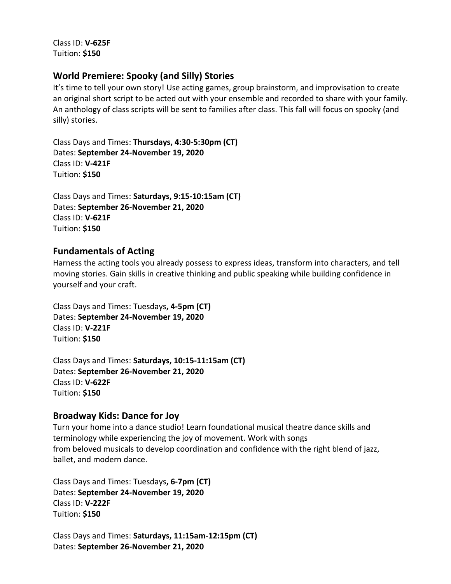Class ID: **V-625F** Tuition: **\$150**

#### **World Premiere: Spooky (and Silly) Stories**

It's time to tell your own story! Use acting games, group brainstorm, and improvisation to create an original short script to be acted out with your ensemble and recorded to share with your family. An anthology of class scripts will be sent to families after class. This fall will focus on spooky (and silly) stories.

Class Days and Times: **Thursdays, 4:30-5:30pm (CT)** Dates: **September 24-November 19, 2020** Class ID: **V-421F** Tuition: **\$150**

Class Days and Times: **Saturdays, 9:15-10:15am (CT)** Dates: **September 26-November 21, 2020** Class ID: **V-621F** Tuition: **\$150**

#### **Fundamentals of Acting**

Harness the acting tools you already possess to express ideas, transform into characters, and tell moving stories. Gain skills in creative thinking and public speaking while building confidence in yourself and your craft.

Class Days and Times: Tuesdays**, 4-5pm (CT)** Dates: **September 24-November 19, 2020** Class ID: **V-221F** Tuition: **\$150**

Class Days and Times: **Saturdays, 10:15-11:15am (CT)** Dates: **September 26-November 21, 2020** Class ID: **V-622F** Tuition: **\$150**

#### **Broadway Kids: Dance for Joy**

Turn your home into a dance studio! Learn foundational musical theatre dance skills and terminology while experiencing the joy of movement. Work with songs from beloved musicals to develop coordination and confidence with the right blend of jazz, ballet, and modern dance.

Class Days and Times: Tuesdays**, 6-7pm (CT)** Dates: **September 24-November 19, 2020** Class ID: **V-222F** Tuition: **\$150**

Class Days and Times: **Saturdays, 11:15am-12:15pm (CT)** Dates: **September 26-November 21, 2020**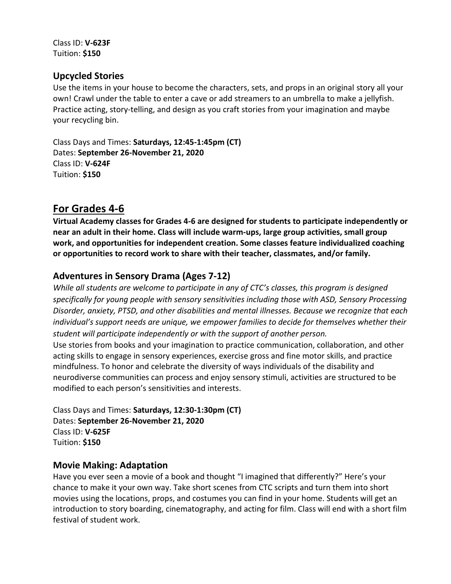Class ID: **V-623F** Tuition: **\$150**

## **Upcycled Stories**

Use the items in your house to become the characters, sets, and props in an original story all your own! Crawl under the table to enter a cave or add streamers to an umbrella to make a jellyfish. Practice acting, story-telling, and design as you craft stories from your imagination and maybe your recycling bin.

Class Days and Times: **Saturdays, 12:45-1:45pm (CT)** Dates: **September 26-November 21, 2020** Class ID: **V-624F** Tuition: **\$150**

# **For Grades 4-6**

**Virtual Academy classes for Grades 4-6 are designed for students to participate independently or near an adult in their home. Class will include warm-ups, large group activities, small group work, and opportunities for independent creation. Some classes feature individualized coaching or opportunities to record work to share with their teacher, classmates, and/or family.**

# **Adventures in Sensory Drama (Ages 7-12)**

*While all students are welcome to participate in any of CTC's classes, this program is designed specifically for young people with sensory sensitivities including those with ASD, Sensory Processing Disorder, anxiety, PTSD, and other disabilities and mental illnesses. Because we recognize that each individual's support needs are unique, we empower families to decide for themselves whether their student will participate independently or with the support of another person.*

Use stories from books and your imagination to practice communication, collaboration, and other acting skills to engage in sensory experiences, exercise gross and fine motor skills, and practice mindfulness. To honor and celebrate the diversity of ways individuals of the disability and neurodiverse communities can process and enjoy sensory stimuli, activities are structured to be modified to each person's sensitivities and interests.

Class Days and Times: **Saturdays, 12:30-1:30pm (CT)** Dates: **September 26-November 21, 2020** Class ID: **V-625F** Tuition: **\$150**

#### **Movie Making: Adaptation**

Have you ever seen a movie of a book and thought "I imagined that differently?" Here's your chance to make it your own way. Take short scenes from CTC scripts and turn them into short movies using the locations, props, and costumes you can find in your home. Students will get an introduction to story boarding, cinematography, and acting for film. Class will end with a short film festival of student work.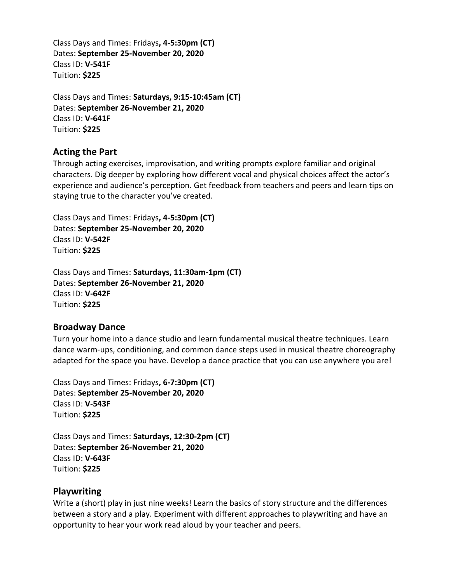Class Days and Times: Fridays**, 4-5:30pm (CT)** Dates: **September 25-November 20, 2020** Class ID: **V-541F** Tuition: **\$225**

Class Days and Times: **Saturdays, 9:15-10:45am (CT)** Dates: **September 26-November 21, 2020** Class ID: **V-641F** Tuition: **\$225**

#### **Acting the Part**

Through acting exercises, improvisation, and writing prompts explore familiar and original characters. Dig deeper by exploring how different vocal and physical choices affect the actor's experience and audience's perception. Get feedback from teachers and peers and learn tips on staying true to the character you've created.

Class Days and Times: Fridays**, 4-5:30pm (CT)** Dates: **September 25-November 20, 2020** Class ID: **V-542F** Tuition: **\$225**

Class Days and Times: **Saturdays, 11:30am-1pm (CT)** Dates: **September 26-November 21, 2020** Class ID: **V-642F** Tuition: **\$225**

#### **Broadway Dance**

Turn your home into a dance studio and learn fundamental musical theatre techniques. Learn dance warm-ups, conditioning, and common dance steps used in musical theatre choreography adapted for the space you have. Develop a dance practice that you can use anywhere you are!

Class Days and Times: Fridays**, 6-7:30pm (CT)** Dates: **September 25-November 20, 2020** Class ID: **V-543F** Tuition: **\$225**

Class Days and Times: **Saturdays, 12:30-2pm (CT)** Dates: **September 26-November 21, 2020** Class ID: **V-643F** Tuition: **\$225**

#### **Playwriting**

Write a (short) play in just nine weeks! Learn the basics of story structure and the differences between a story and a play. Experiment with different approaches to playwriting and have an opportunity to hear your work read aloud by your teacher and peers.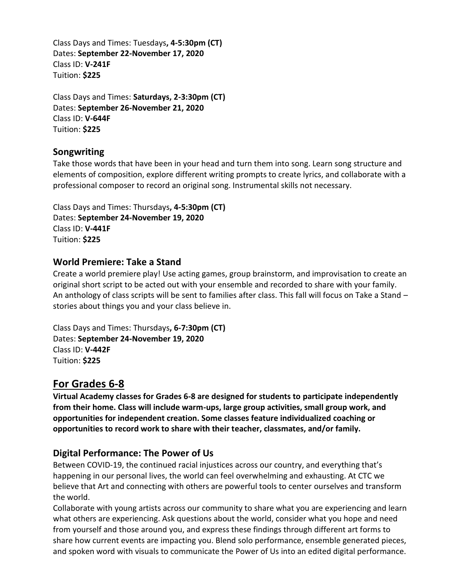Class Days and Times: Tuesdays**, 4-5:30pm (CT)** Dates: **September 22-November 17, 2020** Class ID: **V-241F** Tuition: **\$225**

Class Days and Times: **Saturdays, 2-3:30pm (CT)** Dates: **September 26-November 21, 2020** Class ID: **V-644F** Tuition: **\$225**

## **Songwriting**

Take those words that have been in your head and turn them into song. Learn song structure and elements of composition, explore different writing prompts to create lyrics, and collaborate with a professional composer to record an original song. Instrumental skills not necessary.

Class Days and Times: Thursdays**, 4-5:30pm (CT)** Dates: **September 24-November 19, 2020** Class ID: **V-441F** Tuition: **\$225**

#### **World Premiere: Take a Stand**

Create a world premiere play! Use acting games, group brainstorm, and improvisation to create an original short script to be acted out with your ensemble and recorded to share with your family. An anthology of class scripts will be sent to families after class. This fall will focus on Take a Stand – stories about things you and your class believe in.

Class Days and Times: Thursdays**, 6-7:30pm (CT)** Dates: **September 24-November 19, 2020** Class ID: **V-442F** Tuition: **\$225**

# **For Grades 6-8**

**Virtual Academy classes for Grades 6-8 are designed for students to participate independently from their home. Class will include warm-ups, large group activities, small group work, and opportunities for independent creation. Some classes feature individualized coaching or opportunities to record work to share with their teacher, classmates, and/or family.**

# **Digital Performance: The Power of Us**

Between COVID-19, the continued racial injustices across our country, and everything that's happening in our personal lives, the world can feel overwhelming and exhausting. At CTC we believe that Art and connecting with others are powerful tools to center ourselves and transform the world.

Collaborate with young artists across our community to share what you are experiencing and learn what others are experiencing. Ask questions about the world, consider what you hope and need from yourself and those around you, and express these findings through different art forms to share how current events are impacting you. Blend solo performance, ensemble generated pieces, and spoken word with visuals to communicate the Power of Us into an edited digital performance.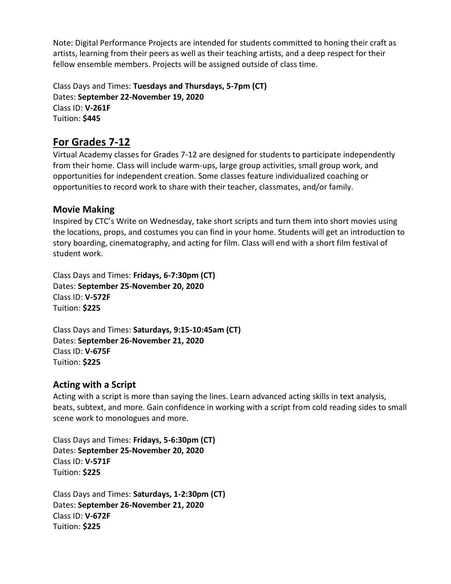Note: Digital Performance Projects are intended for students committed to honing their craft as artists, learning from their peers as well as their teaching artists, and a deep respect for their fellow ensemble members. Projects will be assigned outside of class time.

Class Days and Times: **Tuesdays and Thursdays, 5-7pm (CT)** Dates: **September 22-November 19, 2020** Class ID: **V-261F** Tuition: **\$445**

# **For Grades 7-12**

Virtual Academy classes for Grades 7-12 are designed for students to participate independently from their home. Class will include warm-ups, large group activities, small group work, and opportunities for independent creation. Some classes feature individualized coaching or opportunities to record work to share with their teacher, classmates, and/or family.

# **Movie Making**

Inspired by CTC's Write on Wednesday, take short scripts and turn them into short movies using the locations, props, and costumes you can find in your home. Students will get an introduction to story boarding, cinematography, and acting for film. Class will end with a short film festival of student work.

Class Days and Times: **Fridays, 6-7:30pm (CT)** Dates: **September 25-November 20, 2020** Class ID: **V-572F** Tuition: **\$225**

Class Days and Times: **Saturdays, 9:15-10:45am (CT)** Dates: **September 26-November 21, 2020** Class ID: **V-675F** Tuition: **\$225**

# **Acting with a Script**

Acting with a script is more than saying the lines. Learn advanced acting skills in text analysis, beats, subtext, and more. Gain confidence in working with a script from cold reading sides to small scene work to monologues and more.

Class Days and Times: **Fridays, 5-6:30pm (CT)** Dates: **September 25-November 20, 2020** Class ID: **V-571F** Tuition: **\$225**

Class Days and Times: **Saturdays, 1-2:30pm (CT)** Dates: **September 26-November 21, 2020** Class ID: **V-672F** Tuition: **\$225**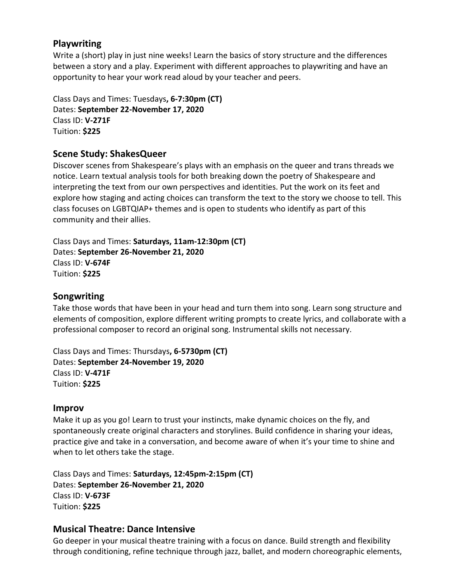## **Playwriting**

where the serraaks **Ferlaan is and the store in the set of stori** structure and the differences write a (short) play in just nine weeks! Learn the basics of story structure and the differences Seure and the unicrements between a story and a play. Experiment with different approaches to playwriting and have an opportunity to hear your work read aloud by your teacher and peers.

Class Days and Times: Tuesdays**, 6-7:30pm (CT)** Dates: **September 22-November 17, 2020** Class ID: **V-271F** Tuition: **\$225**

# **Scene Study: ShakesQueer**

Discover scenes from Shakespeare's plays with an emphasis on the queer and trans threads we notice. Learn textual analysis tools for both breaking down the poetry of Shakespeare and interpreting the text from our own perspectives and identities. Put the work on its feet and explore how staging and acting choices can transform the text to the story we choose to tell. This class focuses on LGBTQIAP+ themes and is open to students who identify as part of this community and their allies.

Class Days and Times: **Saturdays, 11am-12:30pm (CT)** Dates: **September 26-November 21, 2020** Class ID: **V-674F** Tuition: **\$225**

#### **Songwriting**

Take those words that have been in your head and turn them into song. Learn song structure and elements of composition, explore different writing prompts to create lyrics, and collaborate with a professional composer to record an original song. Instrumental skills not necessary.

Class Days and Times: Thursdays**, 6-5730pm (CT)** Dates: **September 24-November 19, 2020** Class ID: **V-471F** Tuition: **\$225**

#### **Improv**

Make it up as you go! Learn to trust your instincts, make dynamic choices on the fly, and spontaneously create original characters and storylines. Build confidence in sharing your ideas, practice give and take in a conversation, and become aware of when it's your time to shine and when to let others take the stage.

Class Days and Times: **Saturdays, 12:45pm-2:15pm (CT)** Dates: **September 26-November 21, 2020** Class ID: **V-673F** Tuition: **\$225**

#### **Musical Theatre: Dance Intensive**

Go deeper in your musical theatre training with a focus on dance. Build strength and flexibility through conditioning, refine technique through jazz, ballet, and modern choreographic elements,